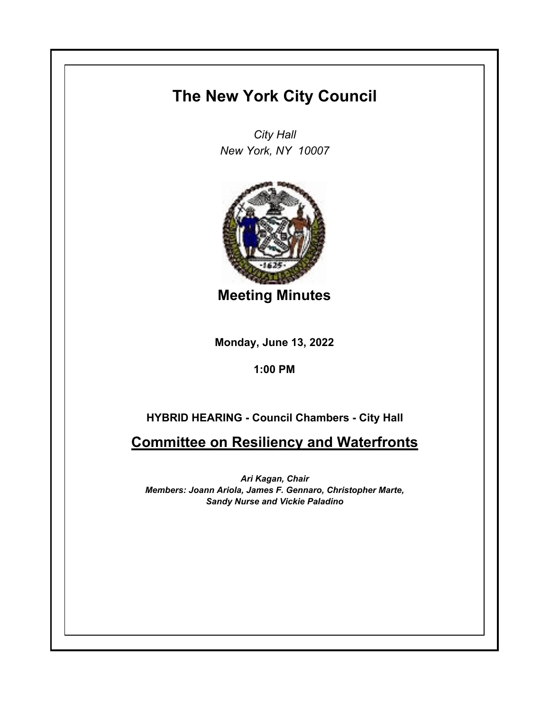## **The New York City Council**

*City Hall New York, NY 10007*



**Meeting Minutes**

**Monday, June 13, 2022**

**1:00 PM**

## **HYBRID HEARING - Council Chambers - City Hall**

**Committee on Resiliency and Waterfronts**

*Ari Kagan, Chair Members: Joann Ariola, James F. Gennaro, Christopher Marte, Sandy Nurse and Vickie Paladino*